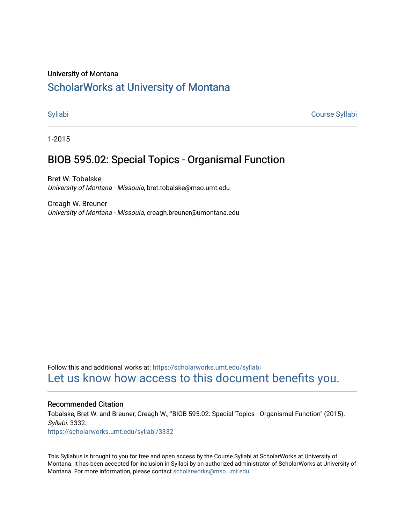#### University of Montana

# [ScholarWorks at University of Montana](https://scholarworks.umt.edu/)

[Syllabi](https://scholarworks.umt.edu/syllabi) [Course Syllabi](https://scholarworks.umt.edu/course_syllabi) 

1-2015

## BIOB 595.02: Special Topics - Organismal Function

Bret W. Tobalske University of Montana - Missoula, bret.tobalske@mso.umt.edu

Creagh W. Breuner University of Montana - Missoula, creagh.breuner@umontana.edu

Follow this and additional works at: [https://scholarworks.umt.edu/syllabi](https://scholarworks.umt.edu/syllabi?utm_source=scholarworks.umt.edu%2Fsyllabi%2F3332&utm_medium=PDF&utm_campaign=PDFCoverPages)  [Let us know how access to this document benefits you.](https://goo.gl/forms/s2rGfXOLzz71qgsB2) 

#### Recommended Citation

Tobalske, Bret W. and Breuner, Creagh W., "BIOB 595.02: Special Topics - Organismal Function" (2015). Syllabi. 3332.

[https://scholarworks.umt.edu/syllabi/3332](https://scholarworks.umt.edu/syllabi/3332?utm_source=scholarworks.umt.edu%2Fsyllabi%2F3332&utm_medium=PDF&utm_campaign=PDFCoverPages)

This Syllabus is brought to you for free and open access by the Course Syllabi at ScholarWorks at University of Montana. It has been accepted for inclusion in Syllabi by an authorized administrator of ScholarWorks at University of Montana. For more information, please contact [scholarworks@mso.umt.edu.](mailto:scholarworks@mso.umt.edu)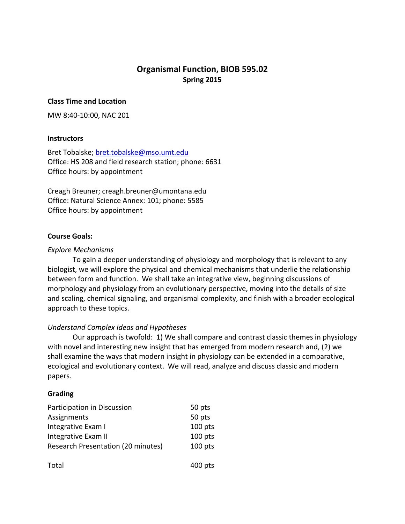## **Organismal Function, BIOB 595.02 Spring 2015**

#### **Class Time and Location**

MW 8:40‐10:00, NAC 201

#### **Instructors**

Bret Tobalske; **bret.tobalske@mso.umt.edu**  Office: HS 208 and field research station; phone: 6631 Office hours: by appointment

 Creagh Breuner; creagh.breuner@umontana.edu Office: Natural Science Annex: 101; phone: 5585 Office hours: by appointment

#### **Course Goals:**

#### *Explore Mechanisms*

To gain a deeper understanding of physiology and morphology that is relevant to any biologist, we will explore the physical and chemical mechanisms that underlie the relationship between form and function. We shall take an integrative view, beginning discussions of morphology and physiology from an evolutionary perspective, moving into the details of size and scaling, chemical signaling, and organismal complexity, and finish with a broader ecological approach to these topics.

### *Understand Complex Ideas and Hypotheses*

 Our approach is twofold: 1) We shall compare and contrast classic themes in physiology with novel and interesting new insight that has emerged from modern research and, (2) we shall examine the ways that modern insight in physiology can be extended in a comparative, ecological and evolutionary context. We will read, analyze and discuss classic and modern papers.

#### **Grading**

| Participation in Discussion               | 50 pts    |
|-------------------------------------------|-----------|
| Assignments                               | 50 pts    |
| Integrative Exam I                        | $100$ pts |
| Integrative Exam II                       | $100$ pts |
| <b>Research Presentation (20 minutes)</b> | $100$ pts |
| Total                                     | 400 pts   |